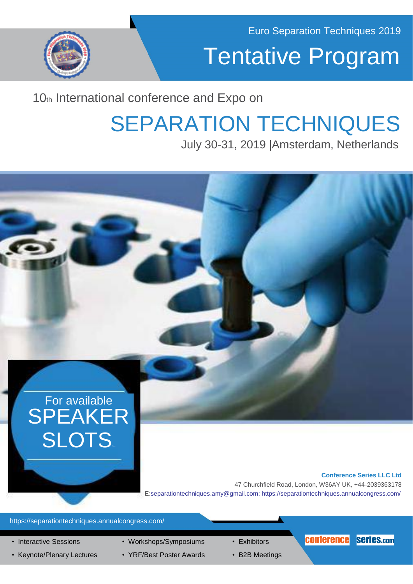

## Tentative Program

### 10th International conference and Expo on

## SEPARATION TECHNIQUES

July 30-31, 2019 |Amsterdam, Netherlands



- Keynote/Plenary Lectures YRF/Best Poster Awards B2B Meetings
	-
-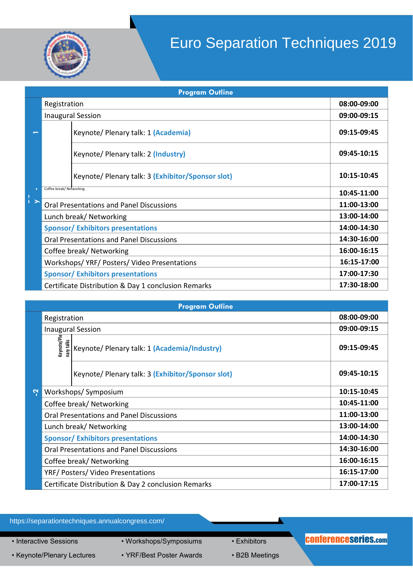

### Euro Separation Techniques 2019

| <b>Program Outline</b> |                                                 |                                                     |             |  |
|------------------------|-------------------------------------------------|-----------------------------------------------------|-------------|--|
|                        | Registration                                    |                                                     | 08:00-09:00 |  |
|                        | <b>Inaugural Session</b>                        |                                                     | 09:00-09:15 |  |
|                        |                                                 | Keynote/ Plenary talk: 1 (Academia)                 | 09:15-09:45 |  |
|                        |                                                 | Keynote/ Plenary talk: 2 (Industry)                 | 09:45-10:15 |  |
|                        |                                                 | Keynote/ Plenary talk: 3 (Exhibitor/Sponsor slot)   | 10:15-10:45 |  |
|                        | Coffee break/ Networking                        |                                                     | 10:45-11:00 |  |
| $\frac{1}{1}$          | <b>Oral Presentations and Panel Discussions</b> |                                                     | 11:00-13:00 |  |
|                        | Lunch break/ Networking                         |                                                     | 13:00-14:00 |  |
|                        |                                                 | <b>Sponsor/ Exhibitors presentations</b>            | 14:00-14:30 |  |
|                        | <b>Oral Presentations and Panel Discussions</b> |                                                     | 14:30-16:00 |  |
|                        |                                                 | Coffee break/ Networking                            | 16:00-16:15 |  |
|                        | Workshops/YRF/Posters/Video Presentations       | 16:15-17:00                                         |             |  |
|                        | <b>Sponsor/Exhibitors presentations</b>         | 17:00-17:30                                         |             |  |
|                        |                                                 | Certificate Distribution & Day 1 conclusion Remarks | 17:30-18:00 |  |

| <b>Program Outline</b> |                                                                    |                                                   |             |  |  |
|------------------------|--------------------------------------------------------------------|---------------------------------------------------|-------------|--|--|
|                        | Registration                                                       |                                                   | 08:00-09:00 |  |  |
|                        | <b>Inaugural Session</b>                                           | 09:00-09:15                                       |             |  |  |
|                        | keynote/Ple<br>nary talks                                          | Keynote/ Plenary talk: 1 (Academia/Industry)      | 09:15-09:45 |  |  |
|                        |                                                                    | Keynote/ Plenary talk: 3 (Exhibitor/Sponsor slot) | 09:45-10:15 |  |  |
| Ņ                      | Workshops/Symposium                                                |                                                   | 10:15-10:45 |  |  |
|                        | Coffee break/ Networking                                           |                                                   | 10:45-11:00 |  |  |
|                        | <b>Oral Presentations and Panel Discussions</b>                    |                                                   | 11:00-13:00 |  |  |
|                        | Lunch break/ Networking                                            |                                                   | 13:00-14:00 |  |  |
|                        | <b>Sponsor/ Exhibitors presentations</b>                           |                                                   | 14:00-14:30 |  |  |
|                        | Oral Presentations and Panel Discussions                           |                                                   | 14:30-16:00 |  |  |
|                        | Coffee break/ Networking                                           |                                                   | 16:00-16:15 |  |  |
|                        | YRF/Posters/Video Presentations                                    |                                                   | 16:15-17:00 |  |  |
|                        | 17:00-17:15<br>Certificate Distribution & Day 2 conclusion Remarks |                                                   |             |  |  |

https://separationtechniques.annualcongress.com/

• Interactive Sessions • Workshops/Symposiums • Exhibitors

• Keynote/Plenary Lectures • YRF/Best Poster Awards • B2B Meetings

#### conferenceseries.com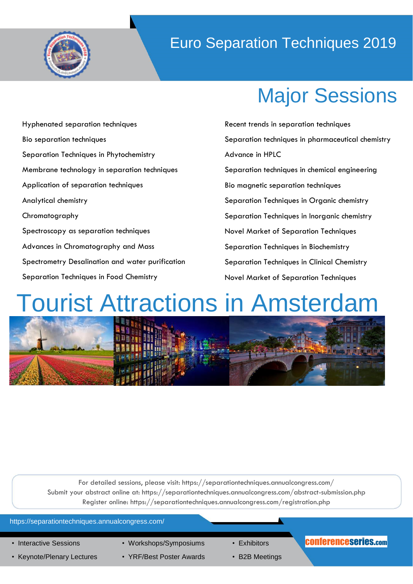

### Euro Separation Techniques 2019

## Major Sessions

- Hyphenated separation techniques Bio separation techniques Separation Techniques in Phytochemistry Membrane technology in separation techniques Application of separation techniques Analytical chemistry Chromatography Spectroscopy as separation techniques Advances in Chromatography and Mass Spectrometry Desalination and water purification Separation Techniques in Food Chemistry
- Recent trends in separation techniques Separation techniques in pharmaceutical chemistry Advance in HPLC Separation techniques in chemical engineering Bio magnetic separation techniques Separation Techniques in Organic chemistry Separation Techniques in Inorganic chemistry Novel Market of Separation Techniques Separation Techniques in Biochemistry Separation Techniques in Clinical Chemistry Novel Market of Separation Techniques

# **Tourist Attractions in Amsterdam**



For detailed sessions, please visit: https://separationtechniques.annualcongress.com/ Submit your abstract online at: https://separationtechniques.annualcongress.com/abstract-submission.php Register online: https://separationtechniques.annualcongress.com/registration.php

#### https://separationtechniques.annualcongress.com/

- 
- 
- Keynote/Plenary Lectures YRF/Best Poster Awards B2B Meetings
- 
- 
- 

#### • Interactive Sessions • Workshops/Symposiums • Exhibitors **CONferenceseries.com**